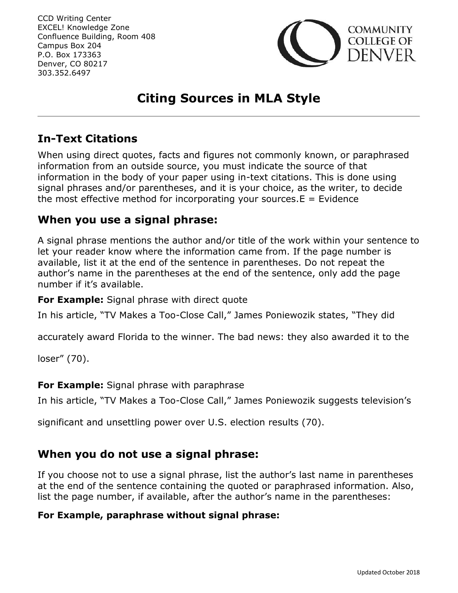

# **Citing Sources in MLA Style**

## **In-Text Citations**

When using direct quotes, facts and figures not commonly known, or paraphrased information from an outside source, you must indicate the source of that information in the body of your paper using in-text citations. This is done using signal phrases and/or parentheses, and it is your choice, as the writer, to decide the most effective method for incorporating your sources.  $E =$  Evidence

### **When you use a signal phrase:**

A signal phrase mentions the author and/or title of the work within your sentence to let your reader know where the information came from. If the page number is available, list it at the end of the sentence in parentheses. Do not repeat the author's name in the parentheses at the end of the sentence, only add the page number if it's available.

**For Example:** Signal phrase with direct quote

In his article, "TV Makes a Too-Close Call," James Poniewozik states, "They did

accurately award Florida to the winner. The bad news: they also awarded it to the

loser" (70).

#### **For Example:** Signal phrase with paraphrase

In his article, "TV Makes a Too-Close Call," James Poniewozik suggests television's

significant and unsettling power over U.S. election results (70).

### **When you do not use a signal phrase:**

If you choose not to use a signal phrase, list the author's last name in parentheses at the end of the sentence containing the quoted or paraphrased information. Also, list the page number, if available, after the author's name in the parentheses:

#### **For Example, paraphrase without signal phrase:**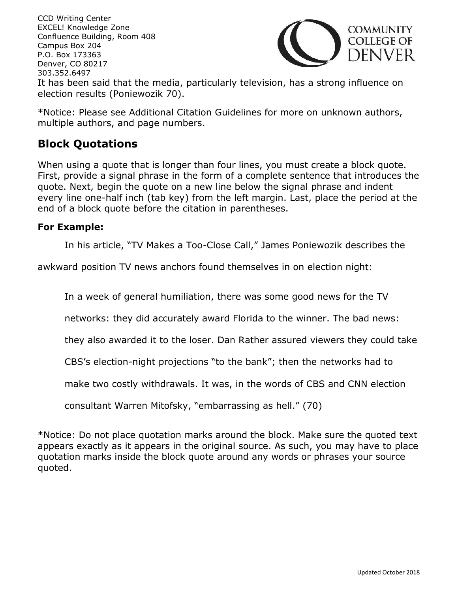CCD Writing Center EXCEL! Knowledge Zone **COMMUNITY** Confluence Building, Room 408 **COLLEGE OF** Campus Box 204 )ENVER. P.O. Box 173363 Denver, CO 80217 303.352.6497 It has been said that the media, particularly television, has a strong influence on election results (Poniewozik 70).

\*Notice: Please see Additional Citation Guidelines for more on unknown authors, multiple authors, and page numbers.

## **Block Quotations**

When using a quote that is longer than four lines, you must create a block quote. First, provide a signal phrase in the form of a complete sentence that introduces the quote. Next, begin the quote on a new line below the signal phrase and indent every line one-half inch (tab key) from the left margin. Last, place the period at the end of a block quote before the citation in parentheses.

#### **For Example:**

In his article, "TV Makes a Too-Close Call," James Poniewozik describes the

awkward position TV news anchors found themselves in on election night:

In a week of general humiliation, there was some good news for the TV

networks: they did accurately award Florida to the winner. The bad news:

they also awarded it to the loser. Dan Rather assured viewers they could take

CBS's election-night projections "to the bank"; then the networks had to

make two costly withdrawals. It was, in the words of CBS and CNN election

consultant Warren Mitofsky, "embarrassing as hell." (70)

\*Notice: Do not place quotation marks around the block. Make sure the quoted text appears exactly as it appears in the original source. As such, you may have to place quotation marks inside the block quote around any words or phrases your source quoted.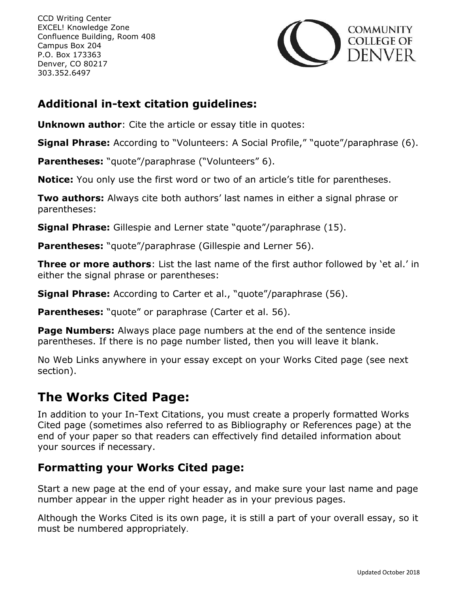

## **Additional in-text citation guidelines:**

**Unknown author**: Cite the article or essay title in quotes:

**Signal Phrase:** According to "Volunteers: A Social Profile," "quote"/paraphrase (6).

**Parentheses:** "quote"/paraphrase ("Volunteers" 6).

**Notice:** You only use the first word or two of an article's title for parentheses.

**Two authors:** Always cite both authors' last names in either a signal phrase or parentheses:

**Signal Phrase:** Gillespie and Lerner state "quote"/paraphrase (15).

**Parentheses:** "quote"/paraphrase (Gillespie and Lerner 56).

**Three or more authors**: List the last name of the first author followed by 'et al.' in either the signal phrase or parentheses:

**Signal Phrase:** According to Carter et al., "quote"/paraphrase (56).

**Parentheses:** "quote" or paraphrase (Carter et al. 56).

**Page Numbers:** Always place page numbers at the end of the sentence inside parentheses. If there is no page number listed, then you will leave it blank.

No Web Links anywhere in your essay except on your Works Cited page (see next section).

# **The Works Cited Page:**

In addition to your In-Text Citations, you must create a properly formatted Works Cited page (sometimes also referred to as Bibliography or References page) at the end of your paper so that readers can effectively find detailed information about your sources if necessary.

## **Formatting your Works Cited page:**

Start a new page at the end of your essay, and make sure your last name and page number appear in the upper right header as in your previous pages.

Although the Works Cited is its own page, it is still a part of your overall essay, so it must be numbered appropriately.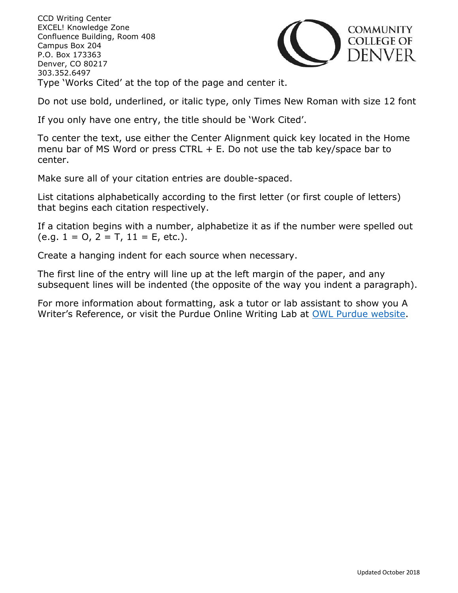CCD Writing Center EXCEL! Knowledge Zone Confluence Building, Room 408 Campus Box 204 P.O. Box 173363 Denver, CO 80217 303.352.6497 Type 'Works Cited' at the top of the page and center it.



Do not use bold, underlined, or italic type, only Times New Roman with size 12 font

If you only have one entry, the title should be 'Work Cited'.

To center the text, use either the Center Alignment quick key located in the Home menu bar of MS Word or press CTRL  $+$  E. Do not use the tab key/space bar to center.

Make sure all of your citation entries are double-spaced.

List citations alphabetically according to the first letter (or first couple of letters) that begins each citation respectively.

If a citation begins with a number, alphabetize it as if the number were spelled out  $(e.g. 1 = 0, 2 = T, 11 = E, etc.).$ 

Create a hanging indent for each source when necessary.

The first line of the entry will line up at the left margin of the paper, and any subsequent lines will be indented (the opposite of the way you indent a paragraph).

For more information about formatting, ask a tutor or lab assistant to show you A Writer's Reference, or visit the Purdue Online Writing Lab at [OWL Purdue website.](https://owl.english.purdue.edu/owl/)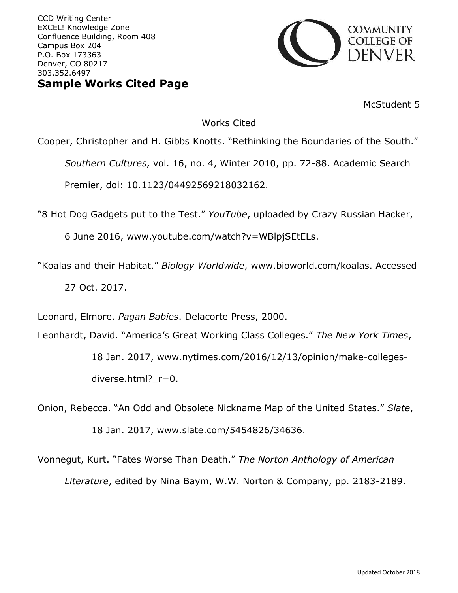CCD Writing Center EXCEL! Knowledge Zone Confluence Building, Room 408 Campus Box 204 P.O. Box 173363 Denver, CO 80217 303.352.6497 **Sample Works Cited Page**



McStudent 5

#### Works Cited

Cooper, Christopher and H. Gibbs Knotts. "Rethinking the Boundaries of the South." *Southern Cultures*, vol. 16, no. 4, Winter 2010, pp. 72-88. Academic Search Premier, doi: 10.1123/04492569218032162.

"8 Hot Dog Gadgets put to the Test." *YouTube*, uploaded by Crazy Russian Hacker,

6 June 2016, www.youtube.com/watch?v=WBlpjSEtELs.

"Koalas and their Habitat." *Biology Worldwide*, www.bioworld.com/koalas. Accessed 27 Oct. 2017.

Leonard, Elmore. *Pagan Babies*. Delacorte Press, 2000.

Leonhardt, David. "America's Great Working Class Colleges." *The New York Times*,

18 Jan. 2017, www.nytimes.com/2016/12/13/opinion/make-collegesdiverse.html?\_r=0.

Onion, Rebecca. "An Odd and Obsolete Nickname Map of the United States." *Slate*, 18 Jan. 2017, www.slate.com/5454826/34636.

Vonnegut, Kurt. "Fates Worse Than Death." *The Norton Anthology of American Literature*, edited by Nina Baym, W.W. Norton & Company, pp. 2183-2189.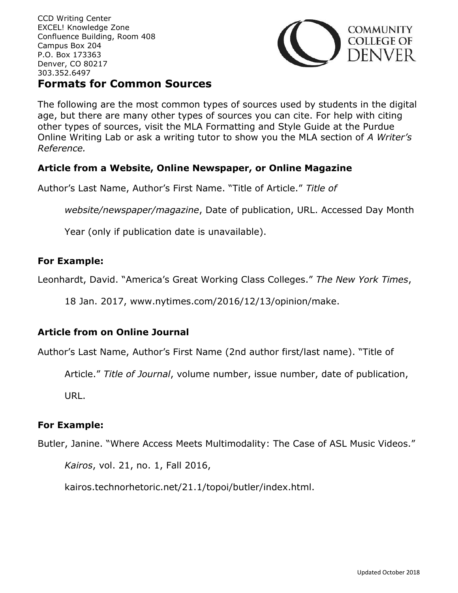

## **Formats for Common Sources**

The following are the most common types of sources used by students in the digital age, but there are many other types of sources you can cite. For help with citing other types of sources, visit the MLA Formatting and Style Guide at the Purdue Online Writing Lab or ask a writing tutor to show you the MLA section of *A Writer's Reference.*

#### **Article from a Website, Online Newspaper, or Online Magazine**

Author's Last Name, Author's First Name. "Title of Article." *Title of* 

*website/newspaper/magazine*, Date of publication, URL. Accessed Day Month

Year (only if publication date is unavailable).

#### **For Example:**

Leonhardt, David. "America's Great Working Class Colleges." *The New York Times*,

18 Jan. 2017, www.nytimes.com/2016/12/13/opinion/make.

#### **Article from on Online Journal**

Author's Last Name, Author's First Name (2nd author first/last name). "Title of

Article." *Title of Journal*, volume number, issue number, date of publication,

URL.

#### **For Example:**

Butler, Janine. "Where Access Meets Multimodality: The Case of ASL Music Videos."

*Kairos*, vol. 21, no. 1, Fall 2016,

kairos.technorhetoric.net/21.1/topoi/butler/index.html.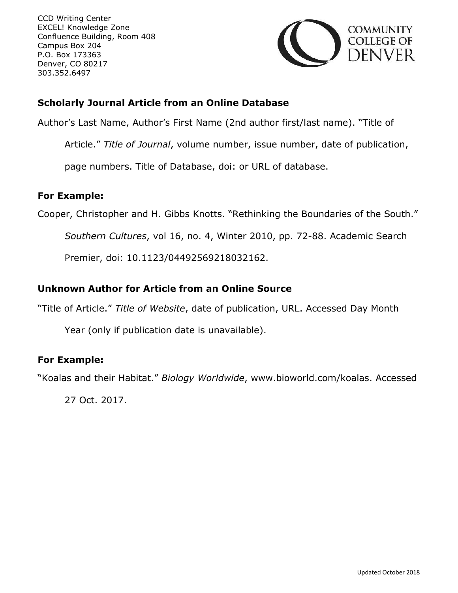

#### **Scholarly Journal Article from an Online Database**

Author's Last Name, Author's First Name (2nd author first/last name). "Title of

Article." *Title of Journal*, volume number, issue number, date of publication,

page numbers. Title of Database, doi: or URL of database.

#### **For Example:**

Cooper, Christopher and H. Gibbs Knotts. "Rethinking the Boundaries of the South."

*Southern Cultures*, vol 16, no. 4, Winter 2010, pp. 72-88. Academic Search

Premier, doi: 10.1123/04492569218032162.

#### **Unknown Author for Article from an Online Source**

"Title of Article." *Title of Website*, date of publication, URL. Accessed Day Month

Year (only if publication date is unavailable).

#### **For Example:**

"Koalas and their Habitat." *Biology Worldwide*, www.bioworld.com/koalas. Accessed

27 Oct. 2017.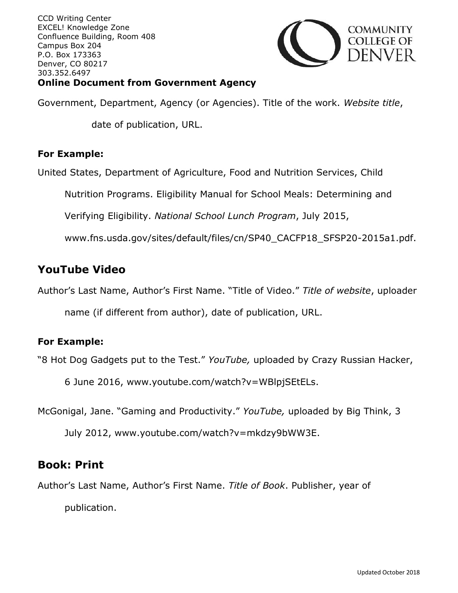

### **Online Document from Government Agency**

Government, Department, Agency (or Agencies). Title of the work. *Website title*,

date of publication, URL.

#### **For Example:**

United States, Department of Agriculture, Food and Nutrition Services, Child

Nutrition Programs. Eligibility Manual for School Meals: Determining and

Verifying Eligibility. *National School Lunch Program*, July 2015,

www.fns.usda.gov/sites/default/files/cn/SP40\_CACFP18\_SFSP20-2015a1.pdf.

## **YouTube Video**

Author's Last Name, Author's First Name. "Title of Video." *Title of website*, uploader

name (if different from author), date of publication, URL.

#### **For Example:**

"8 Hot Dog Gadgets put to the Test." *YouTube,* uploaded by Crazy Russian Hacker,

6 June 2016, www.youtube.com/watch?v=WBlpjSEtELs.

McGonigal, Jane. "Gaming and Productivity." *YouTube,* uploaded by Big Think, 3

July 2012, www.youtube.com/watch?v=mkdzy9bWW3E.

## **Book: Print**

Author's Last Name, Author's First Name. *Title of Book*. Publisher, year of

publication.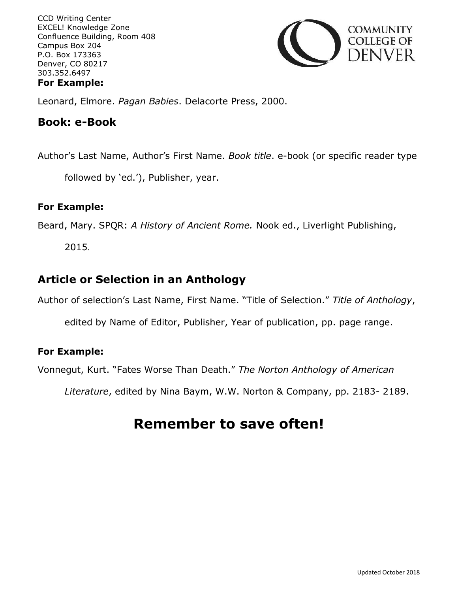

Leonard, Elmore. *Pagan Babies*. Delacorte Press, 2000.

#### **Book: e-Book**

Author's Last Name, Author's First Name. *Book title*. e-book (or specific reader type

followed by 'ed.'), Publisher, year.

#### **For Example:**

Beard, Mary. SPQR: *A History of Ancient Rome.* Nook ed., Liverlight Publishing,

2015.

## **Article or Selection in an Anthology**

Author of selection's Last Name, First Name. "Title of Selection." *Title of Anthology*,

edited by Name of Editor, Publisher, Year of publication, pp. page range.

#### **For Example:**

Vonnegut, Kurt. "Fates Worse Than Death." *The Norton Anthology of American* 

*Literature*, edited by Nina Baym, W.W. Norton & Company, pp. 2183- 2189.

# **Remember to save often!**